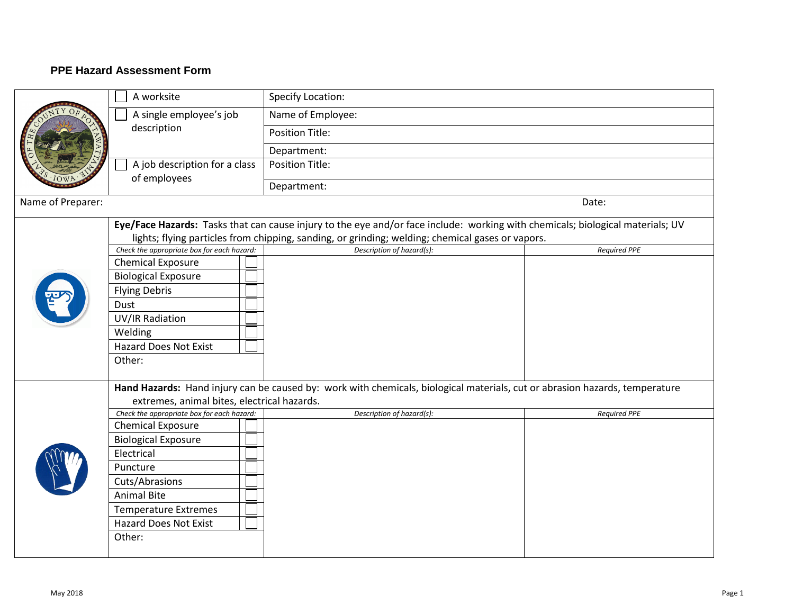## **PPE Hazard Assessment Form**

|                   | A worksite                                    | Specify Location:      |       |
|-------------------|-----------------------------------------------|------------------------|-------|
|                   | A single employee's job<br>description        | Name of Employee:      |       |
|                   |                                               | <b>Position Title:</b> |       |
|                   |                                               | Department:            |       |
|                   | A job description for a class<br>of employees | <b>Position Title:</b> |       |
|                   |                                               | Department:            |       |
| Name of Preparer: |                                               |                        | Date: |

|  | Eye/Face Hazards: Tasks that can cause injury to the eye and/or face include: working with chemicals; biological materials; UV |                                                                                                                             |                     |  |  |  |
|--|--------------------------------------------------------------------------------------------------------------------------------|-----------------------------------------------------------------------------------------------------------------------------|---------------------|--|--|--|
|  | lights; flying particles from chipping, sanding, or grinding; welding; chemical gases or vapors.                               |                                                                                                                             |                     |  |  |  |
|  | Check the appropriate box for each hazard:                                                                                     | Description of hazard(s):                                                                                                   | <b>Required PPE</b> |  |  |  |
|  | <b>Chemical Exposure</b>                                                                                                       |                                                                                                                             |                     |  |  |  |
|  | <b>Biological Exposure</b>                                                                                                     |                                                                                                                             |                     |  |  |  |
|  | <b>Flying Debris</b>                                                                                                           |                                                                                                                             |                     |  |  |  |
|  | Dust                                                                                                                           |                                                                                                                             |                     |  |  |  |
|  | UV/IR Radiation                                                                                                                |                                                                                                                             |                     |  |  |  |
|  | Welding                                                                                                                        |                                                                                                                             |                     |  |  |  |
|  | Hazard Does Not Exist                                                                                                          |                                                                                                                             |                     |  |  |  |
|  | Other:                                                                                                                         |                                                                                                                             |                     |  |  |  |
|  |                                                                                                                                |                                                                                                                             |                     |  |  |  |
|  |                                                                                                                                | Hand Hazards: Hand injury can be caused by: work with chemicals, biological materials, cut or abrasion hazards, temperature |                     |  |  |  |
|  | extremes, animal bites, electrical hazards.                                                                                    |                                                                                                                             |                     |  |  |  |
|  | Check the appropriate box for each hazard:                                                                                     | Description of hazard(s):                                                                                                   | <b>Required PPE</b> |  |  |  |
|  | <b>Chemical Exposure</b>                                                                                                       |                                                                                                                             |                     |  |  |  |
|  | <b>Biological Exposure</b>                                                                                                     |                                                                                                                             |                     |  |  |  |
|  | Electrical                                                                                                                     |                                                                                                                             |                     |  |  |  |
|  | Puncture                                                                                                                       |                                                                                                                             |                     |  |  |  |
|  | Cuts/Abrasions                                                                                                                 |                                                                                                                             |                     |  |  |  |
|  | <b>Animal Bite</b>                                                                                                             |                                                                                                                             |                     |  |  |  |
|  | <b>Temperature Extremes</b>                                                                                                    |                                                                                                                             |                     |  |  |  |
|  | <b>Hazard Does Not Exist</b>                                                                                                   |                                                                                                                             |                     |  |  |  |
|  | Other:                                                                                                                         |                                                                                                                             |                     |  |  |  |
|  |                                                                                                                                |                                                                                                                             |                     |  |  |  |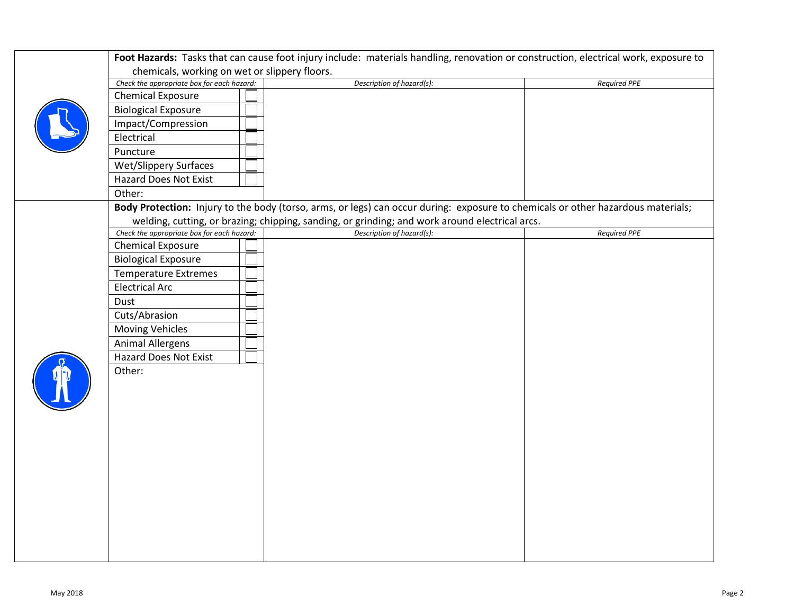| <b>Chemical Exposure</b><br><b>Biological Exposure</b><br>Impact/Compression<br>Electrical<br>Puncture<br><b>Wet/Slippery Surfaces</b><br>Hazard Does Not Exist<br>Other:<br>Body Protection: Injury to the body (torso, arms, or legs) can occur during: exposure to chemicals or other hazardous materials;<br>welding, cutting, or brazing; chipping, sanding, or grinding; and work around electrical arcs.<br>Check the appropriate box for each hazard:<br>Description of hazard(s):<br><b>Required PPE</b><br><b>Chemical Exposure</b><br><b>Biological Exposure</b><br><b>Temperature Extremes</b><br><b>Electrical Arc</b><br>Dust<br>Cuts/Abrasion<br><b>Moving Vehicles</b><br><b>Animal Allergens</b><br>Hazard Does Not Exist<br>Other: | Check the appropriate box for each hazard: | Description of hazard(s): | <b>Required PPE</b> |
|------------------------------------------------------------------------------------------------------------------------------------------------------------------------------------------------------------------------------------------------------------------------------------------------------------------------------------------------------------------------------------------------------------------------------------------------------------------------------------------------------------------------------------------------------------------------------------------------------------------------------------------------------------------------------------------------------------------------------------------------------|--------------------------------------------|---------------------------|---------------------|
|                                                                                                                                                                                                                                                                                                                                                                                                                                                                                                                                                                                                                                                                                                                                                      |                                            |                           |                     |
|                                                                                                                                                                                                                                                                                                                                                                                                                                                                                                                                                                                                                                                                                                                                                      |                                            |                           |                     |
|                                                                                                                                                                                                                                                                                                                                                                                                                                                                                                                                                                                                                                                                                                                                                      |                                            |                           |                     |
|                                                                                                                                                                                                                                                                                                                                                                                                                                                                                                                                                                                                                                                                                                                                                      |                                            |                           |                     |
|                                                                                                                                                                                                                                                                                                                                                                                                                                                                                                                                                                                                                                                                                                                                                      |                                            |                           |                     |
|                                                                                                                                                                                                                                                                                                                                                                                                                                                                                                                                                                                                                                                                                                                                                      |                                            |                           |                     |
|                                                                                                                                                                                                                                                                                                                                                                                                                                                                                                                                                                                                                                                                                                                                                      |                                            |                           |                     |
|                                                                                                                                                                                                                                                                                                                                                                                                                                                                                                                                                                                                                                                                                                                                                      |                                            |                           |                     |
|                                                                                                                                                                                                                                                                                                                                                                                                                                                                                                                                                                                                                                                                                                                                                      |                                            |                           |                     |
|                                                                                                                                                                                                                                                                                                                                                                                                                                                                                                                                                                                                                                                                                                                                                      |                                            |                           |                     |
|                                                                                                                                                                                                                                                                                                                                                                                                                                                                                                                                                                                                                                                                                                                                                      |                                            |                           |                     |
|                                                                                                                                                                                                                                                                                                                                                                                                                                                                                                                                                                                                                                                                                                                                                      |                                            |                           |                     |
|                                                                                                                                                                                                                                                                                                                                                                                                                                                                                                                                                                                                                                                                                                                                                      |                                            |                           |                     |
|                                                                                                                                                                                                                                                                                                                                                                                                                                                                                                                                                                                                                                                                                                                                                      |                                            |                           |                     |
|                                                                                                                                                                                                                                                                                                                                                                                                                                                                                                                                                                                                                                                                                                                                                      |                                            |                           |                     |
|                                                                                                                                                                                                                                                                                                                                                                                                                                                                                                                                                                                                                                                                                                                                                      |                                            |                           |                     |
|                                                                                                                                                                                                                                                                                                                                                                                                                                                                                                                                                                                                                                                                                                                                                      |                                            |                           |                     |
|                                                                                                                                                                                                                                                                                                                                                                                                                                                                                                                                                                                                                                                                                                                                                      |                                            |                           |                     |
|                                                                                                                                                                                                                                                                                                                                                                                                                                                                                                                                                                                                                                                                                                                                                      |                                            |                           |                     |
|                                                                                                                                                                                                                                                                                                                                                                                                                                                                                                                                                                                                                                                                                                                                                      |                                            |                           |                     |
|                                                                                                                                                                                                                                                                                                                                                                                                                                                                                                                                                                                                                                                                                                                                                      |                                            |                           |                     |
|                                                                                                                                                                                                                                                                                                                                                                                                                                                                                                                                                                                                                                                                                                                                                      |                                            |                           |                     |
|                                                                                                                                                                                                                                                                                                                                                                                                                                                                                                                                                                                                                                                                                                                                                      |                                            |                           |                     |
|                                                                                                                                                                                                                                                                                                                                                                                                                                                                                                                                                                                                                                                                                                                                                      |                                            |                           |                     |
|                                                                                                                                                                                                                                                                                                                                                                                                                                                                                                                                                                                                                                                                                                                                                      |                                            |                           |                     |
|                                                                                                                                                                                                                                                                                                                                                                                                                                                                                                                                                                                                                                                                                                                                                      |                                            |                           |                     |
|                                                                                                                                                                                                                                                                                                                                                                                                                                                                                                                                                                                                                                                                                                                                                      |                                            |                           |                     |
|                                                                                                                                                                                                                                                                                                                                                                                                                                                                                                                                                                                                                                                                                                                                                      |                                            |                           |                     |
|                                                                                                                                                                                                                                                                                                                                                                                                                                                                                                                                                                                                                                                                                                                                                      |                                            |                           |                     |
|                                                                                                                                                                                                                                                                                                                                                                                                                                                                                                                                                                                                                                                                                                                                                      |                                            |                           |                     |
|                                                                                                                                                                                                                                                                                                                                                                                                                                                                                                                                                                                                                                                                                                                                                      |                                            |                           |                     |
|                                                                                                                                                                                                                                                                                                                                                                                                                                                                                                                                                                                                                                                                                                                                                      |                                            |                           |                     |
|                                                                                                                                                                                                                                                                                                                                                                                                                                                                                                                                                                                                                                                                                                                                                      |                                            |                           |                     |